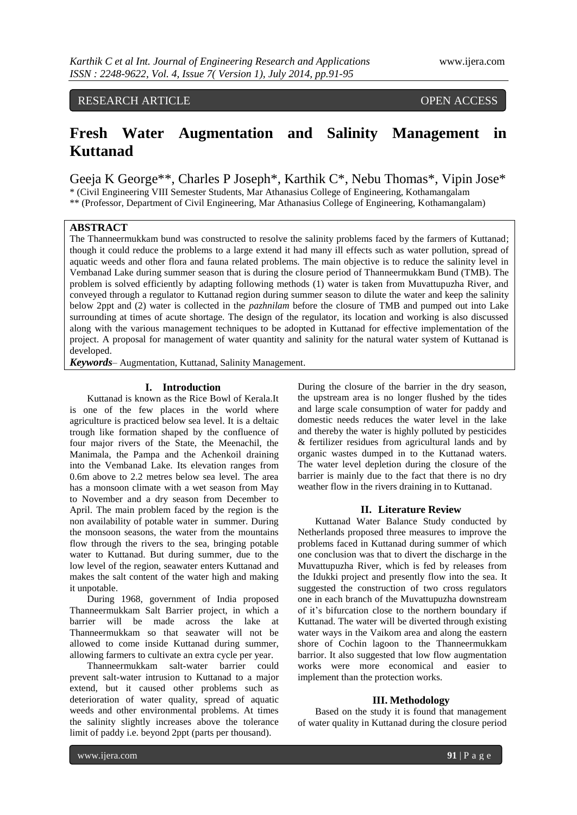## RESEARCH ARTICLE OPEN ACCESS

# **Fresh Water Augmentation and Salinity Management in Kuttanad**

Geeja K George\*\*, Charles P Joseph\*, Karthik C\*, Nebu Thomas\*, Vipin Jose\* \* (Civil Engineering VIII Semester Students, Mar Athanasius College of Engineering, Kothamangalam \*\* (Professor, Department of Civil Engineering, Mar Athanasius College of Engineering, Kothamangalam)

### **ABSTRACT**

The Thanneermukkam bund was constructed to resolve the salinity problems faced by the farmers of Kuttanad; though it could reduce the problems to a large extend it had many ill effects such as water pollution, spread of aquatic weeds and other flora and fauna related problems. The main objective is to reduce the salinity level in Vembanad Lake during summer season that is during the closure period of Thanneermukkam Bund (TMB). The problem is solved efficiently by adapting following methods (1) water is taken from Muvattupuzha River, and conveyed through a regulator to Kuttanad region during summer season to dilute the water and keep the salinity below 2ppt and (2) water is collected in the *pazhnilam* before the closure of TMB and pumped out into Lake surrounding at times of acute shortage. The design of the regulator, its location and working is also discussed along with the various management techniques to be adopted in Kuttanad for effective implementation of the project. A proposal for management of water quantity and salinity for the natural water system of Kuttanad is developed.

*Keywords*– Augmentation, Kuttanad, Salinity Management.

### **I. Introduction**

Kuttanad is known as the Rice Bowl of Kerala.It is one of the few places in the world where agriculture is practiced below sea level. It is a deltaic trough like formation shaped by the confluence of four major rivers of the State, the Meenachil, the Manimala, the Pampa and the Achenkoil draining into the Vembanad Lake. Its elevation ranges from 0.6m above to 2.2 metres below sea level. The area has a monsoon climate with a wet season from May to November and a dry season from December to April. The main problem faced by the region is the non availability of potable water in summer. During the monsoon seasons, the water from the mountains flow through the rivers to the sea, bringing potable water to Kuttanad. But during summer, due to the low level of the region, seawater enters Kuttanad and makes the salt content of the water high and making it unpotable.

During 1968, government of India proposed Thanneermukkam Salt Barrier project, in which a barrier will be made across the lake at Thanneermukkam so that seawater will not be allowed to come inside Kuttanad during summer, allowing farmers to cultivate an extra cycle per year.

Thanneermukkam salt-water barrier could prevent salt-water intrusion to Kuttanad to a major extend, but it caused other problems such as deterioration of water quality, spread of aquatic weeds and other environmental problems. At times the salinity slightly increases above the tolerance limit of paddy i.e. beyond 2ppt (parts per thousand).

During the closure of the barrier in the dry season, the upstream area is no longer flushed by the tides and large scale consumption of water for paddy and domestic needs reduces the water level in the lake and thereby the water is highly polluted by pesticides & fertilizer residues from agricultural lands and by organic wastes dumped in to the Kuttanad waters. The water level depletion during the closure of the barrier is mainly due to the fact that there is no dry weather flow in the rivers draining in to Kuttanad.

#### **II. Literature Review**

Kuttanad Water Balance Study conducted by Netherlands proposed three measures to improve the problems faced in Kuttanad during summer of which one conclusion was that to divert the discharge in the Muvattupuzha River, which is fed by releases from the Idukki project and presently flow into the sea. It suggested the construction of two cross regulators one in each branch of the Muvattupuzha downstream of it's bifurcation close to the northern boundary if Kuttanad. The water will be diverted through existing water ways in the Vaikom area and along the eastern shore of Cochin lagoon to the Thanneermukkam barrior. It also suggested that low flow augmentation works were more economical and easier to implement than the protection works.

#### **III. Methodology**

Based on the study it is found that management of water quality in Kuttanad during the closure period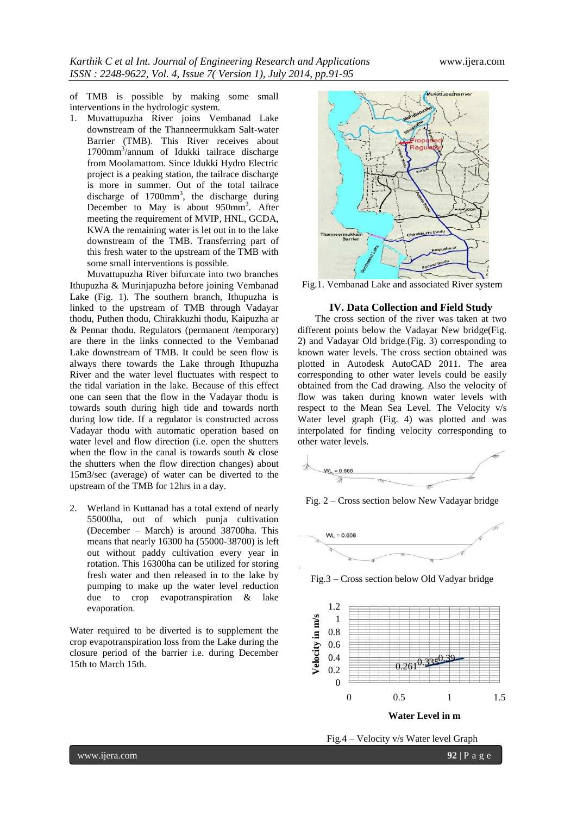of TMB is possible by making some small interventions in the hydrologic system.

1. Muvattupuzha River joins Vembanad Lake downstream of the Thanneermukkam Salt-water Barrier (TMB). This River receives about 1700mm<sup>3</sup> /annum of Idukki tailrace discharge from Moolamattom. Since Idukki Hydro Electric project is a peaking station, the tailrace discharge is more in summer. Out of the total tailrace discharge of  $1700 \text{mm}^3$ , the discharge during December to May is about 950mm<sup>3</sup>. After meeting the requirement of MVIP, HNL, GCDA, KWA the remaining water is let out in to the lake downstream of the TMB. Transferring part of this fresh water to the upstream of the TMB with some small interventions is possible.

Muvattupuzha River bifurcate into two branches Ithupuzha & Murinjapuzha before joining Vembanad Lake (Fig. 1). The southern branch, Ithupuzha is linked to the upstream of TMB through Vadayar thodu, Puthen thodu, Chirakkuzhi thodu, Kaipuzha ar & Pennar thodu. Regulators (permanent /temporary) are there in the links connected to the Vembanad Lake downstream of TMB. It could be seen flow is always there towards the Lake through Ithupuzha River and the water level fluctuates with respect to the tidal variation in the lake. Because of this effect one can seen that the flow in the Vadayar thodu is towards south during high tide and towards north during low tide. If a regulator is constructed across Vadayar thodu with automatic operation based on water level and flow direction (i.e. open the shutters when the flow in the canal is towards south  $\&$  close the shutters when the flow direction changes) about 15m3/sec (average) of water can be diverted to the upstream of the TMB for 12hrs in a day.

2. Wetland in Kuttanad has a total extend of nearly 55000ha, out of which punja cultivation (December – March) is around 38700ha. This means that nearly 16300 ha (55000-38700) is left out without paddy cultivation every year in rotation. This 16300ha can be utilized for storing fresh water and then released in to the lake by pumping to make up the water level reduction due to crop evapotranspiration & lake evaporation.

Water required to be diverted is to supplement the crop evapotranspiration loss from the Lake during the closure period of the barrier i.e. during December 15th to March 15th.



Fig.1. Vembanad Lake and associated River system

### **IV. Data Collection and Field Study**

The cross section of the river was taken at two different points below the Vadayar New bridge(Fig. 2) and Vadayar Old bridge.(Fig. 3) corresponding to known water levels. The cross section obtained was plotted in Autodesk AutoCAD 2011. The area corresponding to other water levels could be easily obtained from the Cad drawing. Also the velocity of flow was taken during known water levels with respect to the Mean Sea Level. The Velocity v/s Water level graph (Fig. 4) was plotted and was interpolated for finding velocity corresponding to other water levels.



Fig. 2 – Cross section below New Vadayar bridge







Fig.4 – Velocity v/s Water level Graph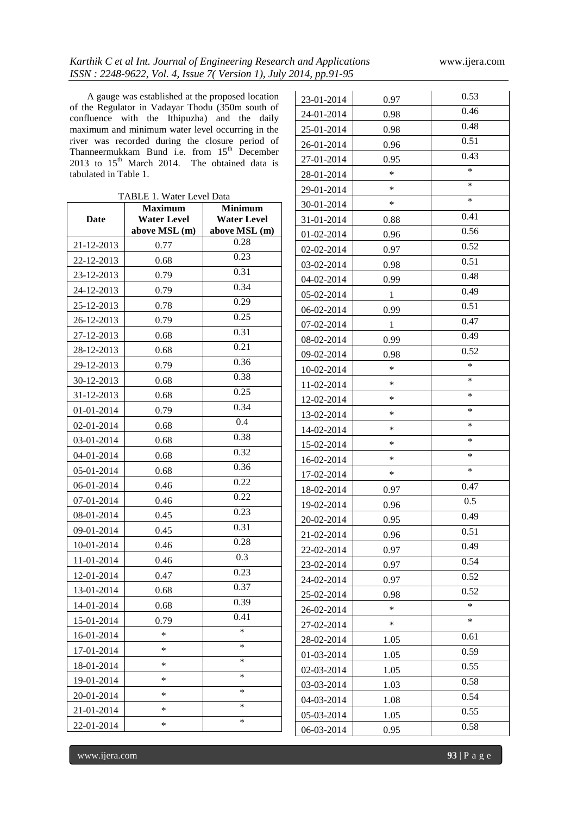23-01-2014 0.97 0.53

24-01-2014 0.98 0.46

26-01-2014 0.96 0.51

25-01-2014 0.98

A gauge was established at the proposed location of the Regulator in Vadayar Thodu (350m south of confluence with the Ithipuzha) and the daily maximum and minimum water level occurring in the river was recorded during the closure period of Thanneermukkam Bund i.e. from  $15<sup>th</sup>$  December 2013 to  $15<sup>th</sup>$  March 2014. The obtained data is tabulated in Table 1.

| I hanneermukkam Bund i.e. from 15 December<br>2013 to $15^{th}$ March 2014.<br>The obtained data is |                                                               |                    | 27-01-2014 | 0.95         | 0.43   |
|-----------------------------------------------------------------------------------------------------|---------------------------------------------------------------|--------------------|------------|--------------|--------|
| tabulated in Table 1.                                                                               |                                                               |                    | 28-01-2014 | $\ast$       | $\ast$ |
|                                                                                                     |                                                               |                    | 29-01-2014 | $\ast$       | $\ast$ |
|                                                                                                     | TABLE 1. Water Level Data<br><b>Maximum</b><br><b>Minimum</b> |                    | 30-01-2014 | $\ast$       | $\ast$ |
| Date                                                                                                | <b>Water Level</b>                                            | <b>Water Level</b> | 31-01-2014 | 0.88         | 0.41   |
|                                                                                                     | above MSL (m)                                                 | above MSL (m)      | 01-02-2014 | 0.96         | 0.56   |
| 21-12-2013                                                                                          | 0.77                                                          | 0.28               | 02-02-2014 | 0.97         | 0.52   |
| 22-12-2013                                                                                          | 0.68                                                          | 0.23               | 03-02-2014 | 0.98         | 0.51   |
| 23-12-2013                                                                                          | 0.79                                                          | 0.31               | 04-02-2014 | 0.99         | 0.48   |
| 24-12-2013                                                                                          | 0.79                                                          | 0.34               | 05-02-2014 | $\mathbf{1}$ | 0.49   |
| 25-12-2013                                                                                          | 0.78                                                          | 0.29               | 06-02-2014 | 0.99         | 0.51   |
| 26-12-2013                                                                                          | 0.79                                                          | 0.25               | 07-02-2014 | $\mathbf{1}$ | 0.47   |
| 27-12-2013                                                                                          | 0.68                                                          | 0.31               | 08-02-2014 | 0.99         | 0.49   |
| 28-12-2013                                                                                          | 0.68                                                          | 0.21               | 09-02-2014 | 0.98         | 0.52   |
| 29-12-2013                                                                                          | 0.79                                                          | 0.36               | 10-02-2014 | *            | $\ast$ |
| 30-12-2013                                                                                          | 0.68                                                          | 0.38               | 11-02-2014 | $\ast$       | $\ast$ |
| 31-12-2013                                                                                          | 0.68                                                          | 0.25               | 12-02-2014 | *            | $\ast$ |
| 01-01-2014                                                                                          | 0.79                                                          | 0.34               | 13-02-2014 | *            | *      |
| 02-01-2014                                                                                          | 0.68                                                          | 0.4                | 14-02-2014 | *            | $\ast$ |
| 03-01-2014                                                                                          | 0.68                                                          | 0.38               | 15-02-2014 | $\ast$       | $\ast$ |
| 04-01-2014                                                                                          | 0.68                                                          | 0.32               | 16-02-2014 | *            | *      |
| 05-01-2014                                                                                          | 0.68                                                          | 0.36               | 17-02-2014 | $\ast$       | $\ast$ |
| 06-01-2014                                                                                          | 0.46                                                          | 0.22               | 18-02-2014 | 0.97         | 0.47   |
| 07-01-2014                                                                                          | 0.46                                                          | 0.22               | 19-02-2014 | 0.96         | 0.5    |
| 08-01-2014                                                                                          | 0.45                                                          | 0.23               | 20-02-2014 | 0.95         | 0.49   |
| 09-01-2014                                                                                          | 0.45                                                          | 0.31               | 21-02-2014 | 0.96         | 0.51   |
| 10-01-2014                                                                                          | 0.46                                                          | 0.28               | 22-02-2014 | 0.97         | 0.49   |
| 11-01-2014                                                                                          | 0.46                                                          | 0.3                | 23-02-2014 | 0.97         | 0.54   |
| 12-01-2014                                                                                          | 0.47                                                          | 0.23               | 24-02-2014 | 0.97         | 0.52   |
| 13-01-2014                                                                                          | 0.68                                                          | 0.37               | 25-02-2014 | 0.98         | 0.52   |
| 14-01-2014                                                                                          | 0.68                                                          | 0.39               | 26-02-2014 | $\ast$       | $\ast$ |
| 15-01-2014                                                                                          | 0.79                                                          | 0.41               | 27-02-2014 | $\ast$       | $\ast$ |
| 16-01-2014                                                                                          | $\ast$                                                        | $\ast$             | 28-02-2014 | 1.05         | 0.61   |
| 17-01-2014                                                                                          | $\ast$                                                        | $\ast$             | 01-03-2014 | 1.05         | 0.59   |
| 18-01-2014                                                                                          | $\ast$                                                        | $\ast$             | 02-03-2014 | 1.05         | 0.55   |
| 19-01-2014                                                                                          | $\ast$                                                        | *                  | 03-03-2014 | 1.03         | 0.58   |
| 20-01-2014                                                                                          | $\ast$                                                        | $\ast$             | 04-03-2014 | 1.08         | 0.54   |
| 21-01-2014                                                                                          | $\ast$                                                        | $*$                | 05-03-2014 | 1.05         | 0.55   |
| 22-01-2014                                                                                          | $\ast$                                                        | $\ast$             | 06-03-2014 | 0.95         | 0.58   |

www.ijera.com **93** | P a g e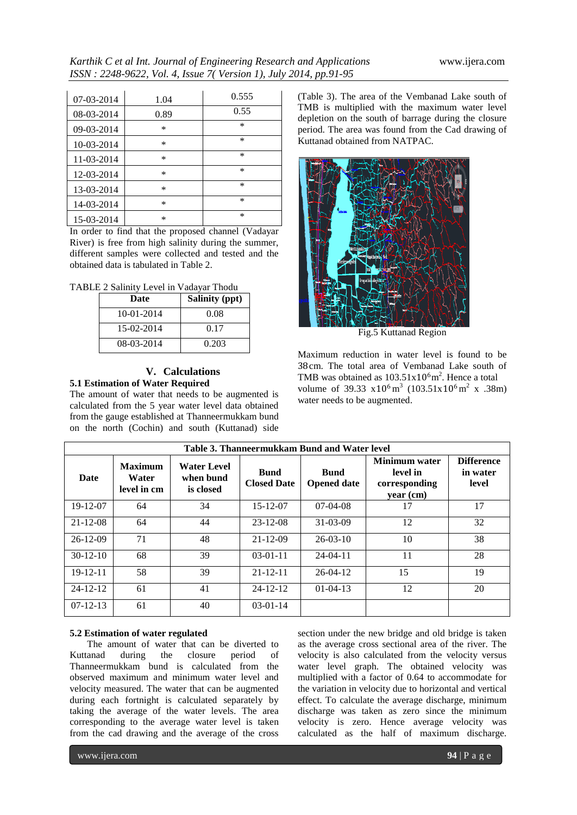| 07-03-2014 | 1.04   | 0.555  |
|------------|--------|--------|
| 08-03-2014 | 0.89   | 0.55   |
| 09-03-2014 | $\ast$ | $\ast$ |
| 10-03-2014 | $\ast$ | *      |
| 11-03-2014 | $\ast$ | *      |
| 12-03-2014 | $\ast$ | *      |
| 13-03-2014 | $\ast$ | *      |
| 14-03-2014 | $\ast$ | *      |
| 15-03-2014 | *      | *      |

In order to find that the proposed channel (Vadayar River) is free from high salinity during the summer, different samples were collected and tested and the obtained data is tabulated in Table 2.

| TABLE 2 Salinity Level in Vadayar Thodu |  |  |
|-----------------------------------------|--|--|
|                                         |  |  |

| Date       | <b>Salinity (ppt)</b> |
|------------|-----------------------|
| 10-01-2014 | 0.08                  |
| 15-02-2014 | 0.17                  |
| 08-03-2014 | 0.203                 |

### **V. Calculations 5.1 Estimation of Water Required**

The amount of water that needs to be augmented is calculated from the 5 year water level data obtained from the gauge established at Thanneermukkam bund on the north (Cochin) and south (Kuttanad) side

(Table 3). The area of the Vembanad Lake south of TMB is multiplied with the maximum water level depletion on the south of barrage during the closure period. The area was found from the Cad drawing of Kuttanad obtained from NATPAC.



Fig.5 Kuttanad Region

Maximum reduction in water level is found to be 38cm. The total area of Vembanad Lake south of TMB was obtained as  $103.51 \times 10^6$  m<sup>2</sup>. Hence a total volume of 39.33  $x10^6 \text{ m}^3$  (103.51 $x10^6 \text{ m}^2$  x .38m) water needs to be augmented.

| Table 3. Thanneermukkam Bund and Water level |                                        |                                       |                                   |                                   |                                                         |                                        |
|----------------------------------------------|----------------------------------------|---------------------------------------|-----------------------------------|-----------------------------------|---------------------------------------------------------|----------------------------------------|
| Date                                         | <b>Maximum</b><br>Water<br>level in cm | Water Level<br>when bund<br>is closed | <b>Bund</b><br><b>Closed Date</b> | <b>Bund</b><br><b>Opened date</b> | Minimum water<br>level in<br>corresponding<br>year (cm) | <b>Difference</b><br>in water<br>level |
| 19-12-07                                     | 64                                     | 34                                    | $15 - 12 - 07$                    | $07-04-08$                        | 17                                                      | 17                                     |
| $21 - 12 - 08$                               | 64                                     | 44                                    | $23 - 12 - 08$                    | $31 - 03 - 09$                    | 12                                                      | 32                                     |
| $26-12-09$                                   | 71                                     | 48                                    | $21 - 12 - 09$                    | $26 - 03 - 10$                    | 10                                                      | 38                                     |
| $30-12-10$                                   | 68                                     | 39                                    | $03-01-11$                        | $24 - 04 - 11$                    | 11                                                      | 28                                     |
| $19 - 12 - 11$                               | 58                                     | 39                                    | $21 - 12 - 11$                    | $26-04-12$                        | 15                                                      | 19                                     |
| $24 - 12 - 12$                               | 61                                     | 41                                    | $24 - 12 - 12$                    | $01 - 04 - 13$                    | 12                                                      | 20                                     |
| $07 - 12 - 13$                               | 61                                     | 40                                    | $03-01-14$                        |                                   |                                                         |                                        |

### **5.2 Estimation of water regulated**

The amount of water that can be diverted to Kuttanad during the closure period of Thanneermukkam bund is calculated from the observed maximum and minimum water level and velocity measured. The water that can be augmented during each fortnight is calculated separately by taking the average of the water levels. The area corresponding to the average water level is taken from the cad drawing and the average of the cross

section under the new bridge and old bridge is taken as the average cross sectional area of the river. The velocity is also calculated from the velocity versus water level graph. The obtained velocity was multiplied with a factor of 0.64 to accommodate for the variation in velocity due to horizontal and vertical effect. To calculate the average discharge, minimum discharge was taken as zero since the minimum velocity is zero. Hence average velocity was calculated as the half of maximum discharge.